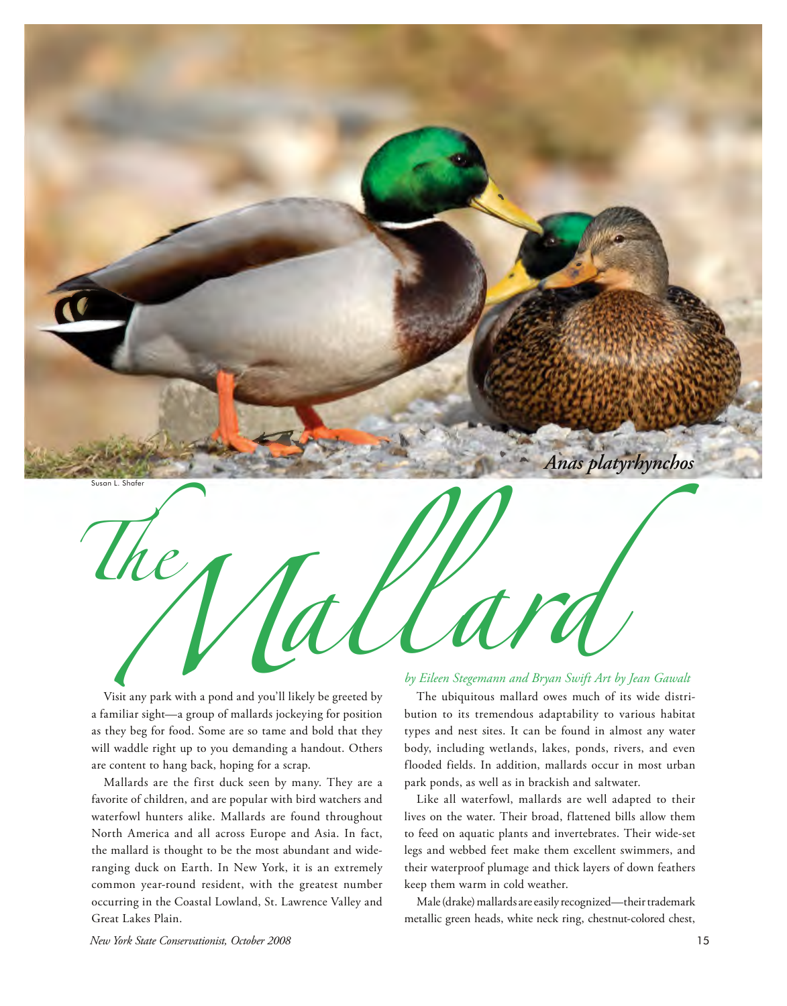

 Visit any park with a pond and you'll likely be greeted by will waddle right up to you demanding a handout. Others a familiar sight—a group of mallards jockeying for position as they beg for food. Some are so tame and bold that they are content to hang back, hoping for a scrap.

 favorite of children, and are popular with bird watchers and common year-round resident, with the greatest number keep them warm in cold weather. Mallards are the first duck seen by many. They are a waterfowl hunters alike. Mallards are found throughout North America and all across Europe and Asia. In fact, the mallard is thought to be the most abundant and wide- legs and webbed feet make them excellent swimmers, and occurring in the Coastal Lowland, St. Lawrence Valley and Male (drake) mallards are easily recognized—their trademark Great Lakes Plain. metallic green heads, white neck ring, chestnut-colored chest,

 bution to its tremendous adaptability to various habitat body, including wetlands, lakes, ponds, rivers, and even The ubiquitous mallard owes much of its wide distritypes and nest sites. It can be found in almost any water flooded fields. In addition, mallards occur in most urban park ponds, as well as in brackish and saltwater.

 ranging duck on Earth. In New York, it is an extremely their waterproof plumage and thick layers of down feathers Like all waterfowl, mallards are well adapted to their lives on the water. Their broad, flattened bills allow them to feed on aquatic plants and invertebrates. Their wide-set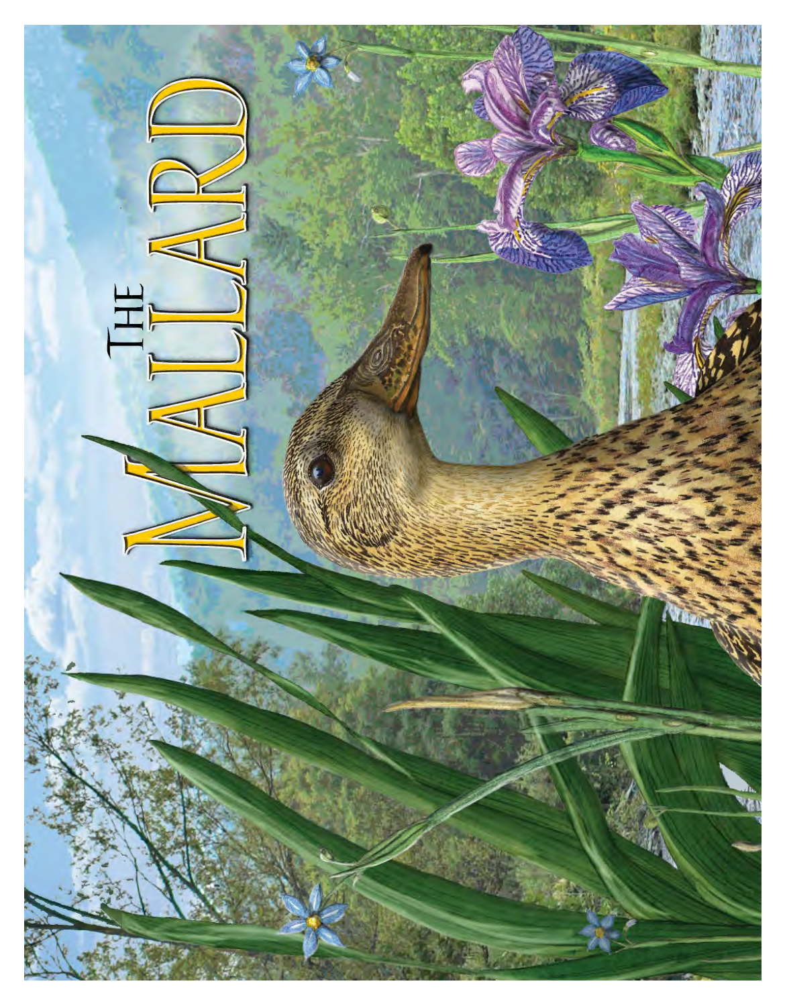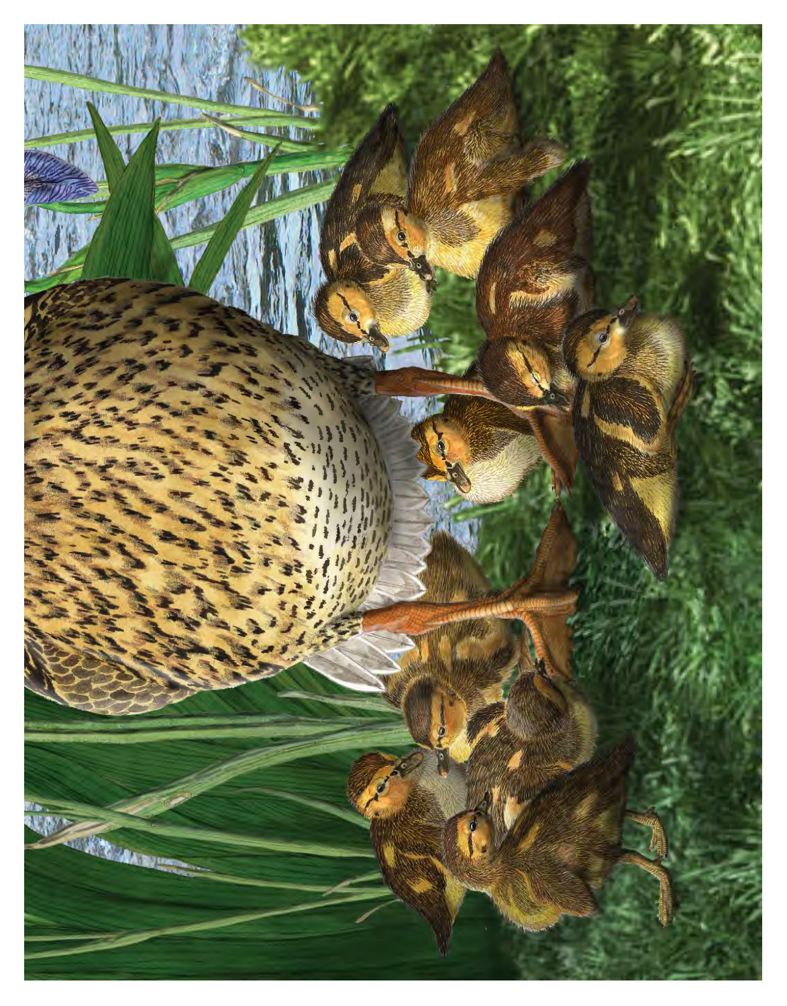